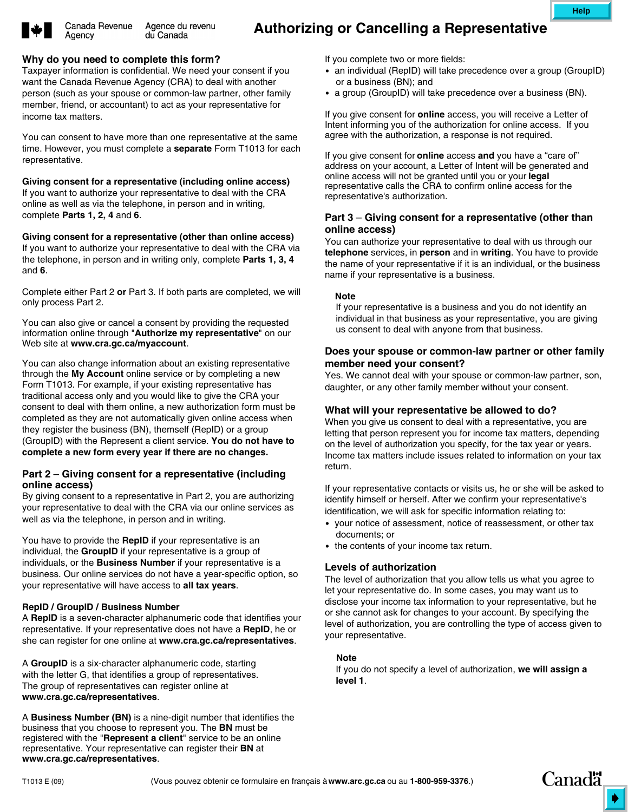

Agency

### **Why do you need to complete this form?**

Taxpayer information is confidential. We need your consent if you want the Canada Revenue Agency (CRA) to deal with another person (such as your spouse or common-law partner, other family member, friend, or accountant) to act as your representative for income tax matters.

You can consent to have more than one representative at the same time. However, you must complete a **separate** Form T1013 for each representative.

**Giving consent for a representative (including online access)** If you want to authorize your representative to deal with the CRA online as well as via the telephone, in person and in writing, complete **Parts 1, 2, 4** and **6**.

**Giving consent for a representative (other than online access)** If you want to authorize your representative to deal with the CRA via the telephone, in person and in writing only, complete **Parts 1, 3, 4** and **6**.

Complete either Part 2 **or** Part 3. If both parts are completed, we will only process Part 2.

You can also give or cancel a consent by providing the requested information online through "**Authorize my representative**" on our Web site at **www.cra.gc.ca/myaccount**.

You can also change information about an existing representative through the **My Account** online service or by completing a new Form T1013. For example, if your existing representative has traditional access only and you would like to give the CRA your consent to deal with them online, a new authorization form must be completed as they are not automatically given online access when they register the business (BN), themself (RepID) or a group (GroupID) with the Represent a client service. **You do not have to complete a new form every year if there are no changes.**

### **Part 2** – **Giving consent for a representative (including online access)**

By giving consent to a representative in Part 2, you are authorizing your representative to deal with the CRA via our online services as well as via the telephone, in person and in writing.

You have to provide the **RepID** if your representative is an individual, the **GroupID** if your representative is a group of individuals, or the **Business Number** if your representative is a business. Our online services do not have a year-specific option, so your representative will have access to **all tax years**.

### **RepID / GroupID / Business Number**

A **RepID** is a seven-character alphanumeric code that identifies your representative. If your representative does not have a **RepID**, he or she can register for one online at **www.cra.gc.ca/representatives**.

A **GroupID** is a six-character alphanumeric code, starting with the letter G, that identifies a group of representatives. The group of representatives can register online at **www.cra.gc.ca/representatives**.

A **Business Number (BN)** is a nine-digit number that identifies the business that you choose to represent you. The **BN** must be registered with the "**Represent a client**" service to be an online representative. Your representative can register their **BN** at **www.cra.gc.ca/representatives**.

If you complete two or more fields:

- an individual (RepID) will take precedence over a group (GroupID) or a business (BN); and
- a group (GroupID) will take precedence over a business (BN).

If you give consent for **online** access, you will receive a Letter of Intent informing you of the authorization for online access. If you agree with the authorization, a response is not required.

If you give consent for **online** access **and** you have a "care of" address on your account, a Letter of Intent will be generated and online access will not be granted until you or your **legal** representative calls the CRA to confirm online access for the representative's authorization.

## **Part 3** – **Giving consent for a representative (other than online access)**

You can authorize your representative to deal with us through our **telephone** services, in **person** and in **writing**. You have to provide the name of your representative if it is an individual, or the business name if your representative is a business.

#### **Note**

If your representative is a business and you do not identify an individual in that business as your representative, you are giving us consent to deal with anyone from that business.

## **Does your spouse or common-law partner or other family member need your consent?**

Yes. We cannot deal with your spouse or common-law partner, son, daughter, or any other family member without your consent.

### **What will your representative be allowed to do?**

When you give us consent to deal with a representative, you are letting that person represent you for income tax matters, depending on the level of authorization you specify, for the tax year or years. Income tax matters include issues related to information on your tax return.

If your representative contacts or visits us, he or she will be asked to identify himself or herself. After we confirm your representative's identification, we will ask for specific information relating to:

- your notice of assessment, notice of reassessment, or other tax documents; or
- the contents of your income tax return.

# **Levels of authorization**

The level of authorization that you allow tells us what you agree to let your representative do. In some cases, you may want us to disclose your income tax information to your representative, but he or she cannot ask for changes to your account. By specifying the level of authorization, you are controlling the type of access given to your representative.

## **Note**

If you do not specify a level of authorization, **we will assign a level 1**.

**Help**

**Canadä**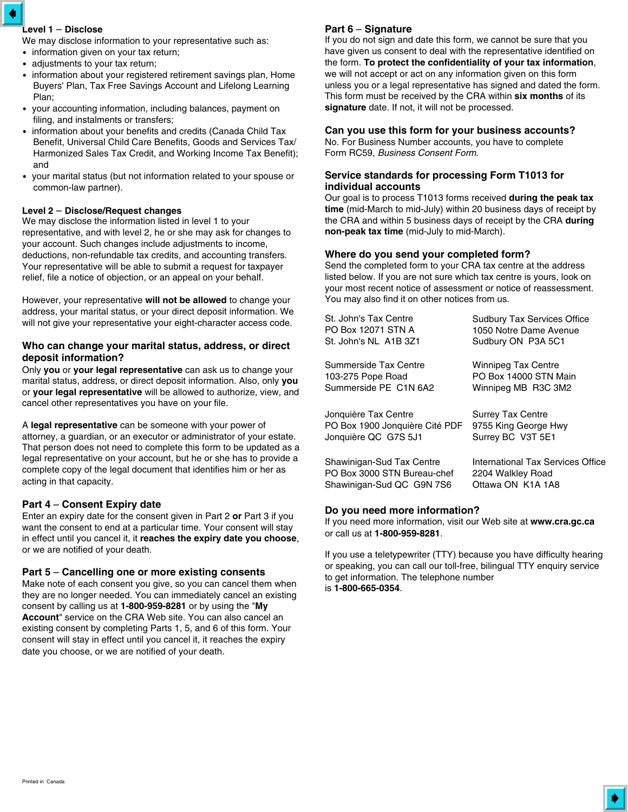# **Level 1** – **Disclose**

We may disclose information to your representative such as:

- information given on your tax return;
- adjustments to your tax return;
- information about your registered retirement savings plan, Home Buyers' Plan, Tax Free Savings Account and Lifelong Learning Plan;
- your accounting information, including balances, payment on filing, and instalments or transfers;
- information about your benefits and credits (Canada Child Tax Benefit, Universal Child Care Benefits, Goods and Services Tax/ Harmonized Sales Tax Credit, and Working Income Tax Benefit); and
- your marital status (but not information related to your spouse or common-law partner).

### **Level 2** – **Disclose/Request changes**

We may disclose the information listed in level 1 to your representative, and with level 2, he or she may ask for changes to your account. Such changes include adjustments to income, deductions, non-refundable tax credits, and accounting transfers. Your representative will be able to submit a request for taxpayer relief, file a notice of objection, or an appeal on your behalf.

However, your representative **will not be allowed** to change your address, your marital status, or your direct deposit information. We will not give your representative your eight-character access code.

### **Who can change your marital status, address, or direct deposit information?**

Only **you** or **your legal representative** can ask us to change your marital status, address, or direct deposit information. Also, only **you** or **your legal representative** will be allowed to authorize, view, and cancel other representatives you have on your file.

A **legal representative** can be someone with your power of attorney, a guardian, or an executor or administrator of your estate. That person does not need to complete this form to be updated as a legal representative on your account, but he or she has to provide a complete copy of the legal document that identifies him or her as acting in that capacity.

# **Part 4** – **Consent Expiry date**

Enter an expiry date for the consent given in Part 2 **or** Part 3 if you want the consent to end at a particular time. Your consent will stay in effect until you cancel it, it **reaches the expiry date you choose**, or we are notified of your death.

### **Part 5** – **Cancelling one or more existing consents**

Make note of each consent you give, so you can cancel them when they are no longer needed. You can immediately cancel an existing consent by calling us at **1-800-959-8281** or by using the "**My Account**" service on the CRA Web site. You can also cancel an existing consent by completing Parts 1, 5, and 6 of this form. Your consent will stay in effect until you cancel it, it reaches the expiry date you choose, or we are notified of your death.

# **Part 6** – **Signature**

If you do not sign and date this form, we cannot be sure that you have given us consent to deal with the representative identified on the form. **To protect the confidentiality of your tax information**, we will not accept or act on any information given on this form unless you or a legal representative has signed and dated the form. This form must be received by the CRA within **six months** of its **signature** date. If not, it will not be processed.

### **Can you use this form for your business accounts?**

No. For Business Number accounts, you have to complete Form RC59, *Business Consent Form*.

### **Service standards for processing Form T1013 for individual accounts**

Our goal is to process T1013 forms received **during the peak tax time** (mid-March to mid-July) within 20 business days of receipt by the CRA and within 5 business days of receipt by the CRA **during non-peak tax time** (mid-July to mid-March).

### **Where do you send your completed form?**

Send the completed form to your CRA tax centre at the address listed below. If you are not sure which tax centre is yours, look on your most recent notice of assessment or notice of reassessment. You may also find it on other notices from us.

| St. John's Tax Centre<br>PO Box 12071 STN A | <b>Sudbury Tax Services Office</b><br>1050 Notre Dame Avenue |
|---------------------------------------------|--------------------------------------------------------------|
| St. John's NL  A1B 3Z1                      | Sudbury ON P3A 5C1                                           |
| Summerside Tax Centre                       | <b>Winnipeg Tax Centre</b>                                   |
| 103-275 Pope Road                           | PO Box 14000 STN Main                                        |
| Summerside PE C1N 6A2                       | Winnipeg MB R3C 3M2                                          |
| Jonquière Tax Centre                        | <b>Surrey Tax Centre</b>                                     |
| PO Box 1900 Jonquière Cité PDF              | 9755 King George Hwy                                         |
| Jonquière QC G7S 5J1                        | Surrey BC V3T 5E1                                            |
| Shawinigan-Sud Tax Centre                   | International Tax Services Office                            |
| PO Box 3000 STN Bureau-chef                 | 2204 Walkley Road                                            |
| Shawinigan-Sud QC G9N 7S6                   | Ottawa ON K1A 1A8                                            |

### **Do you need more information?**

If you need more information, visit our Web site at **www.cra.gc.ca** or call us at **1-800-959-8281**.

If you use a teletypewriter (TTY) because you have difficulty hearing or speaking, you can call our toll-free, bilingual TTY enquiry service to get information. The telephone number is **1-800-665-0354**.

♦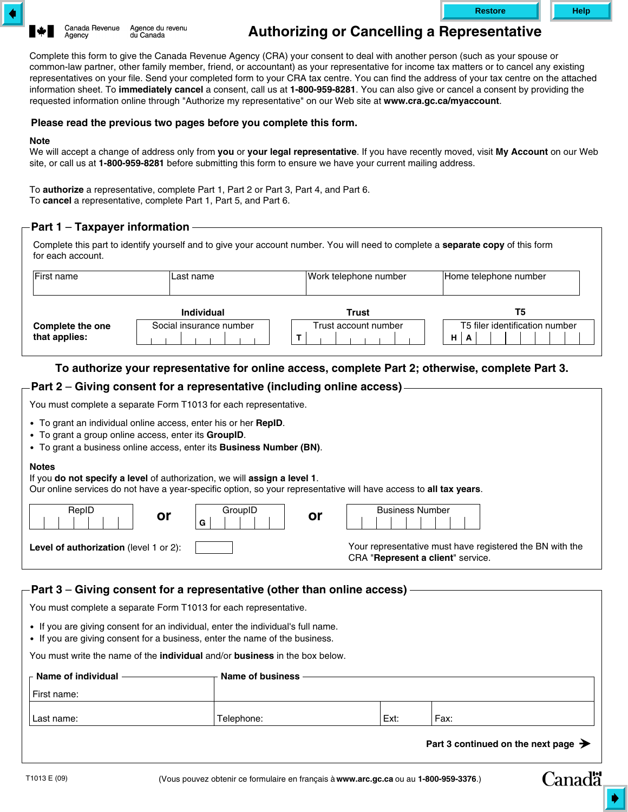



# **Authorizing or Cancelling a Representative**

Complete this form to give the Canada Revenue Agency (CRA) your consent to deal with another person (such as your spouse or common-law partner, other family member, friend, or accountant) as your representative for income tax matters or to cancel any existing representatives on your file. Send your completed form to your CRA tax centre. You can find the address of your tax centre on the attached information sheet. To **immediately cancel** a consent, call us at **1-800-959-8281**. You can also give or cancel a consent by providing the requested information online through "Authorize my representative" on our Web site at **www.cra.gc.ca/myaccount**.

## **Please read the previous two pages before you complete this form.**

#### **Note**

We will accept a change of address only from **you** or **your legal representative**. If you have recently moved, visit **My Account** on our Web site, or call us at **1-800-959-8281** before submitting this form to ensure we have your current mailing address.

To **authorize** a representative, complete Part 1, Part 2 or Part 3, Part 4, and Part 6. To **cancel** a representative, complete Part 1, Part 5, and Part 6.

# **Part 1** – **Taxpayer information**

Complete this part to identify yourself and to give your account number. You will need to complete a **separate copy** of this form for each account.

| First name                        | Last name                                    | Work telephone number         | Home telephone number                |
|-----------------------------------|----------------------------------------------|-------------------------------|--------------------------------------|
|                                   | <b>Individual</b><br>Social insurance number | Trust<br>Trust account number | Т5<br>T5 filer identification number |
| Complete the one<br>that applies: |                                              |                               | HI<br>A                              |

# **To authorize your representative for online access, complete Part 2; otherwise, complete Part 3.**

# **Part 2** – **Giving consent for a representative (including online access)**

You must complete a separate Form T1013 for each representative.

- To grant an individual online access, enter his or her **RepID**.
- To grant a group online access, enter its **GroupID**.
- To grant a business online access, enter its **Business Number (BN)**.

#### **Notes**

If you **do not specify a level** of authorization, we will **assign a level 1**.

Our online services do not have a year-specific option, so your representative will have access to **all tax years**.

| RepID<br>or                                   | GroupID<br>G | or | <b>Business Number</b>                                                                        |
|-----------------------------------------------|--------------|----|-----------------------------------------------------------------------------------------------|
| <b>Level of authorization</b> (level 1 or 2): |              |    | Your representative must have registered the BN with the<br>CRA "Represent a client" service. |

# **Part 3** – **Giving consent for a representative (other than online access)**

You must complete a separate Form T1013 for each representative.

- If you are giving consent for an individual, enter the individual's full name.
- If you are giving consent for a business, enter the name of the business.

You must write the name of the **individual** and/or **business** in the box below.

| $\vdash$ Name of individual | Name of business |      |      |
|-----------------------------|------------------|------|------|
| l First name:               |                  |      |      |
| Last name:                  | Telephone:       | Ext: | Fax: |

**Part 3 continued on the next page**

**Canadä**